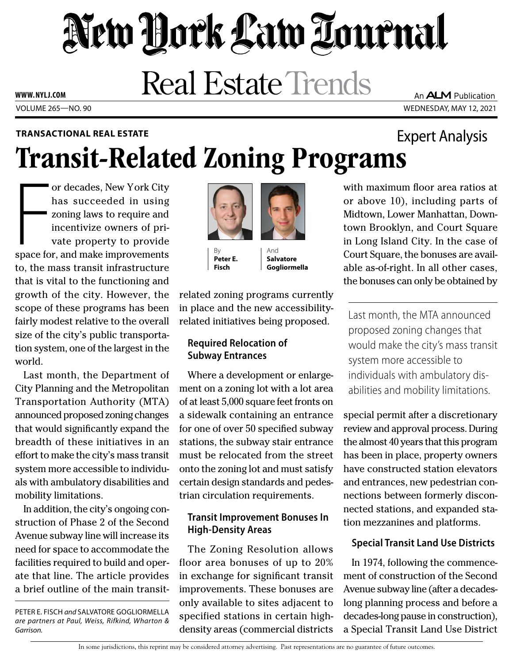# New York Law Tournal

**Real Estate Trends** 

VOLUME 265—NO. 90 WEDNESDAY, MAY 12, 2021 **WWW. NYLJ.COM**

## Transit-Related Zoning Programs **TRANSACTIONAL REAL ESTATE** Expert Analysis

or decades, New York City<br>has succeeded in using<br>zoning laws to require and<br>incentivize owners of pri-<br>vate property to provide<br>space for, and make improvements or decades, New York City has succeeded in using zoning laws to require and incentivize owners of private property to provide to, the mass transit infrastructure that is vital to the functioning and growth of the city. However, the scope of these programs has been fairly modest relative to the overall size of the city's public transportation system, one of the largest in the world.

Last month, the Department of City Planning and the Metropolitan Transportation Authority (MTA) announced proposed zoning changes that would significantly expand the breadth of these initiatives in an effort to make the city's mass transit system more accessible to individuals with ambulatory disabilities and mobility limitations.

In addition, the city's ongoing construction of Phase 2 of the Second Avenue subway line will increase its need for space to accommodate the facilities required to build and operate that line. The article provides a brief outline of the main transit-

PETER E. FISCH *and* SALVATORE GOGLIORMELLA *are partners at Paul, Weiss, Rifkind, Wharton & Garrison.*



By **Peter E. Fisch**

And **Salvatore Gogliormella**

related zoning programs currently in place and the new accessibilityrelated initiatives being proposed.

#### **Required Relocation of Subway Entrances**

Where a development or enlargement on a zoning lot with a lot area of at least 5,000 square feet fronts on a sidewalk containing an entrance for one of over 50 specified subway stations, the subway stair entrance must be relocated from the street onto the zoning lot and must satisfy certain design standards and pedestrian circulation requirements.

#### **Transit Improvement Bonuses In High-Density Areas**

The Zoning Resolution allows floor area bonuses of up to 20% in exchange for significant transit improvements. These bonuses are only available to sites adjacent to specified stations in certain highdensity areas (commercial districts

with maximum floor area ratios at or above 10), including parts of Midtown, Lower Manhattan, Downtown Brooklyn, and Court Square in Long Island City. In the case of Court Square, the bonuses are available as-of-right. In all other cases, the bonuses can only be obtained by

Last month, the MTA announced proposed zoning changes that would make the city's mass transit system more accessible to individuals with ambulatory disabilities and mobility limitations.

special permit after a discretionary review and approval process. During the almost 40 years that this program has been in place, property owners have constructed station elevators and entrances, new pedestrian connections between formerly disconnected stations, and expanded station mezzanines and platforms.

### **Special Transit Land Use Districts**

In 1974, following the commencement of construction of the Second Avenue subway line (after a decadeslong planning process and before a decades-long pause in construction), a Special Transit Land Use District

An **ALM** Publication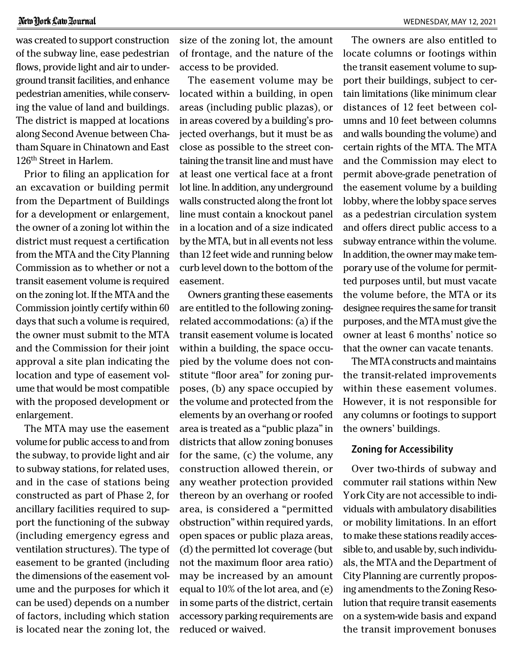#### New York Law Zournal

was created to support construction of the subway line, ease pedestrian flows, provide light and air to underground transit facilities, and enhance pedestrian amenities, while conserving the value of land and buildings. The district is mapped at locations along Second Avenue between Chatham Square in Chinatown and East 126th Street in Harlem.

Prior to filing an application for an excavation or building permit from the Department of Buildings for a development or enlargement, the owner of a zoning lot within the district must request a certification from the MTA and the City Planning Commission as to whether or not a transit easement volume is required on the zoning lot. If the MTA and the Commission jointly certify within 60 days that such a volume is required, the owner must submit to the MTA and the Commission for their joint approval a site plan indicating the location and type of easement volume that would be most compatible with the proposed development or enlargement.

The MTA may use the easement volume for public access to and from the subway, to provide light and air to subway stations, for related uses, and in the case of stations being constructed as part of Phase 2, for ancillary facilities required to support the functioning of the subway (including emergency egress and ventilation structures). The type of easement to be granted (including the dimensions of the easement volume and the purposes for which it can be used) depends on a number of factors, including which station is located near the zoning lot, the size of the zoning lot, the amount of frontage, and the nature of the access to be provided.

The easement volume may be located within a building, in open areas (including public plazas), or in areas covered by a building's projected overhangs, but it must be as close as possible to the street containing the transit line and must have at least one vertical face at a front lot line. In addition, any underground walls constructed along the front lot line must contain a knockout panel in a location and of a size indicated by the MTA, but in all events not less than 12 feet wide and running below curb level down to the bottom of the easement.

Owners granting these easements are entitled to the following zoningrelated accommodations: (a) if the transit easement volume is located within a building, the space occupied by the volume does not constitute "floor area" for zoning purposes, (b) any space occupied by the volume and protected from the elements by an overhang or roofed area is treated as a "public plaza" in districts that allow zoning bonuses for the same, (c) the volume, any construction allowed therein, or any weather protection provided thereon by an overhang or roofed area, is considered a "permitted obstruction" within required yards, open spaces or public plaza areas, (d) the permitted lot coverage (but not the maximum floor area ratio) may be increased by an amount equal to 10% of the lot area, and (e) in some parts of the district, certain accessory parking requirements are reduced or waived.

The owners are also entitled to locate columns or footings within the transit easement volume to support their buildings, subject to certain limitations (like minimum clear distances of 12 feet between columns and 10 feet between columns and walls bounding the volume) and certain rights of the MTA. The MTA and the Commission may elect to permit above-grade penetration of the easement volume by a building lobby, where the lobby space serves as a pedestrian circulation system and offers direct public access to a subway entrance within the volume. In addition, the owner may make temporary use of the volume for permitted purposes until, but must vacate the volume before, the MTA or its designee requires the same for transit purposes, and the MTA must give the owner at least 6 months' notice so that the owner can vacate tenants.

The MTA constructs and maintains the transit-related improvements within these easement volumes. However, it is not responsible for any columns or footings to support the owners' buildings.

#### **Zoning for Accessibility**

Over two-thirds of subway and commuter rail stations within New York City are not accessible to individuals with ambulatory disabilities or mobility limitations. In an effort to make these stations readily accessible to, and usable by, such individuals, the MTA and the Department of City Planning are currently proposing amendments to the Zoning Resolution that require transit easements on a system-wide basis and expand the transit improvement bonuses